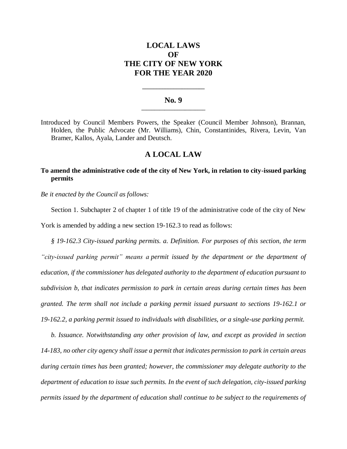# **LOCAL LAWS OF THE CITY OF NEW YORK FOR THE YEAR 2020**

### **No. 9 \_\_\_\_\_\_\_\_\_\_\_\_\_\_\_\_\_\_\_\_\_\_\_\_\_**

**\_\_\_\_\_\_\_\_\_\_\_\_\_\_\_\_\_\_\_\_\_\_**

Introduced by Council Members Powers, the Speaker (Council Member Johnson), Brannan, Holden, the Public Advocate (Mr. Williams), Chin, Constantinides, Rivera, Levin, Van Bramer, Kallos, Ayala, Lander and Deutsch.

## **A LOCAL LAW**

# **To amend the administrative code of the city of New York, in relation to city-issued parking permits**

*Be it enacted by the Council as follows:*

Section 1. Subchapter 2 of chapter 1 of title 19 of the administrative code of the city of New York is amended by adding a new section 19-162.3 to read as follows:

*§ 19-162.3 City-issued parking permits. a. Definition. For purposes of this section, the term "city-issued parking permit" means a permit issued by the department or the department of education, if the commissioner has delegated authority to the department of education pursuant to subdivision b, that indicates permission to park in certain areas during certain times has been granted. The term shall not include a parking permit issued pursuant to sections 19-162.1 or 19-162.2, a parking permit issued to individuals with disabilities, or a single-use parking permit.*

*b. Issuance. Notwithstanding any other provision of law, and except as provided in section 14-183, no other city agency shall issue a permit that indicates permission to park in certain areas during certain times has been granted; however, the commissioner may delegate authority to the department of education to issue such permits. In the event of such delegation, city-issued parking permits issued by the department of education shall continue to be subject to the requirements of*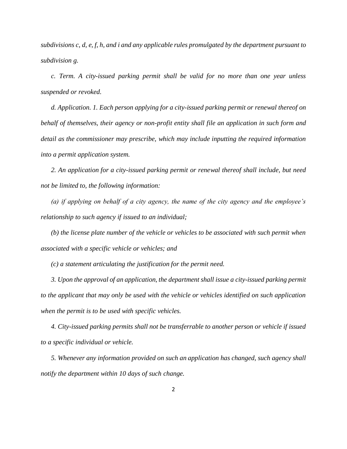*subdivisions c, d, e, f, h, and i and any applicable rules promulgated by the department pursuant to subdivision g.*

*c. Term. A city-issued parking permit shall be valid for no more than one year unless suspended or revoked.* 

*d. Application. 1. Each person applying for a city-issued parking permit or renewal thereof on behalf of themselves, their agency or non-profit entity shall file an application in such form and detail as the commissioner may prescribe, which may include inputting the required information into a permit application system.* 

*2. An application for a city-issued parking permit or renewal thereof shall include, but need not be limited to, the following information:* 

*(a) if applying on behalf of a city agency, the name of the city agency and the employee's relationship to such agency if issued to an individual;*

*(b) the license plate number of the vehicle or vehicles to be associated with such permit when associated with a specific vehicle or vehicles; and*

*(c) a statement articulating the justification for the permit need.* 

*3. Upon the approval of an application, the department shall issue a city-issued parking permit to the applicant that may only be used with the vehicle or vehicles identified on such application when the permit is to be used with specific vehicles.* 

*4. City-issued parking permits shall not be transferrable to another person or vehicle if issued to a specific individual or vehicle.* 

*5. Whenever any information provided on such an application has changed, such agency shall notify the department within 10 days of such change.*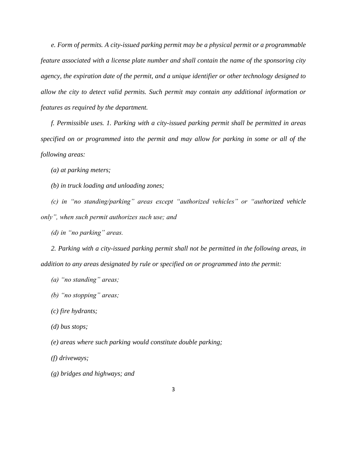*e. Form of permits. A city-issued parking permit may be a physical permit or a programmable feature associated with a license plate number and shall contain the name of the sponsoring city agency, the expiration date of the permit, and a unique identifier or other technology designed to allow the city to detect valid permits. Such permit may contain any additional information or features as required by the department.*

*f. Permissible uses. 1. Parking with a city-issued parking permit shall be permitted in areas specified on or programmed into the permit and may allow for parking in some or all of the following areas:*

*(a) at parking meters;*

*(b) in truck loading and unloading zones;*

*(c) in "no standing/parking" areas except "authorized vehicles" or "authorized vehicle only", when such permit authorizes such use; and*

*(d) in "no parking" areas.*

*2. Parking with a city-issued parking permit shall not be permitted in the following areas, in addition to any areas designated by rule or specified on or programmed into the permit:*

*(a) "no standing" areas;*

*(b) "no stopping" areas;*

*(c) fire hydrants;*

*(d) bus stops;*

*(e) areas where such parking would constitute double parking;*

*(f) driveways;*

*(g) bridges and highways; and*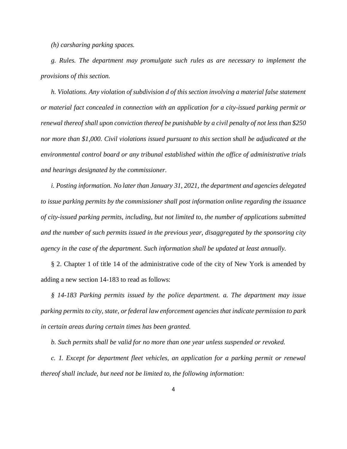*(h) carsharing parking spaces.*

*g. Rules. The department may promulgate such rules as are necessary to implement the provisions of this section.*

*h. Violations. Any violation of subdivision d of this section involving a material false statement or material fact concealed in connection with an application for a city-issued parking permit or renewal thereof shall upon conviction thereof be punishable by a civil penalty of not less than \$250 nor more than \$1,000. Civil violations issued pursuant to this section shall be adjudicated at the environmental control board or any tribunal established within the office of administrative trials and hearings designated by the commissioner.*

*i. Posting information. No later than January 31, 2021, the department and agencies delegated to issue parking permits by the commissioner shall post information online regarding the issuance of city-issued parking permits, including, but not limited to, the number of applications submitted and the number of such permits issued in the previous year, disaggregated by the sponsoring city agency in the case of the department. Such information shall be updated at least annually.*

§ 2. Chapter 1 of title 14 of the administrative code of the city of New York is amended by adding a new section 14-183 to read as follows:

*§ 14-183 Parking permits issued by the police department. a. The department may issue parking permits to city, state, or federal law enforcement agencies that indicate permission to park in certain areas during certain times has been granted.* 

*b. Such permits shall be valid for no more than one year unless suspended or revoked.* 

*c. 1. Except for department fleet vehicles, an application for a parking permit or renewal thereof shall include, but need not be limited to, the following information:*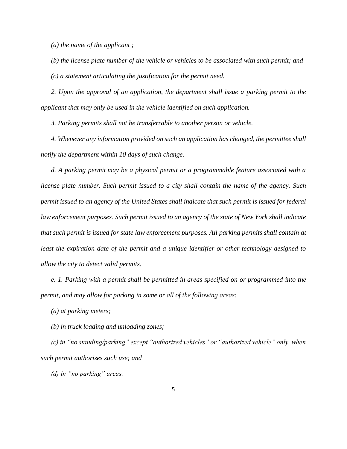*(a) the name of the applicant ;*

*(b) the license plate number of the vehicle or vehicles to be associated with such permit; and (c) a statement articulating the justification for the permit need.* 

*2. Upon the approval of an application, the department shall issue a parking permit to the applicant that may only be used in the vehicle identified on such application.* 

*3. Parking permits shall not be transferrable to another person or vehicle.* 

*4. Whenever any information provided on such an application has changed, the permittee shall notify the department within 10 days of such change.*

*d. A parking permit may be a physical permit or a programmable feature associated with a license plate number. Such permit issued to a city shall contain the name of the agency. Such permit issued to an agency of the United States shall indicate that such permit is issued for federal law enforcement purposes. Such permit issued to an agency of the state of New York shall indicate that such permit is issued for state law enforcement purposes. All parking permits shall contain at least the expiration date of the permit and a unique identifier or other technology designed to allow the city to detect valid permits.* 

*e. 1. Parking with a permit shall be permitted in areas specified on or programmed into the permit, and may allow for parking in some or all of the following areas:*

*(a) at parking meters;*

*(b) in truck loading and unloading zones;*

*(c) in "no standing/parking" except "authorized vehicles" or "authorized vehicle" only, when such permit authorizes such use; and*

*(d) in "no parking" areas.*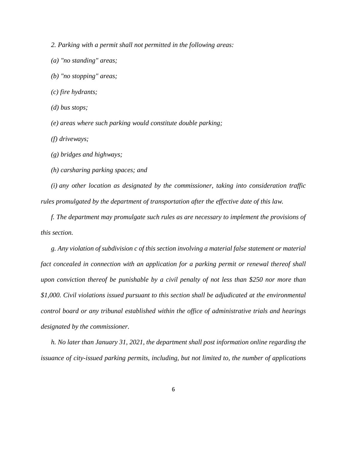*2. Parking with a permit shall not permitted in the following areas:*

- *(a) "no standing" areas;*
- *(b) "no stopping" areas;*
- *(c) fire hydrants;*
- *(d) bus stops;*

*(e) areas where such parking would constitute double parking;*

*(f) driveways;*

*(g) bridges and highways;*

*(h) carsharing parking spaces; and*

*(i) any other location as designated by the commissioner, taking into consideration traffic rules promulgated by the department of transportation after the effective date of this law.*

*f. The department may promulgate such rules as are necessary to implement the provisions of this section.*

*g. Any violation of subdivision c of this section involving a material false statement or material fact concealed in connection with an application for a parking permit or renewal thereof shall upon conviction thereof be punishable by a civil penalty of not less than \$250 nor more than \$1,000. Civil violations issued pursuant to this section shall be adjudicated at the environmental control board or any tribunal established within the office of administrative trials and hearings designated by the commissioner.*

*h. No later than January 31, 2021, the department shall post information online regarding the issuance of city-issued parking permits, including, but not limited to, the number of applications*